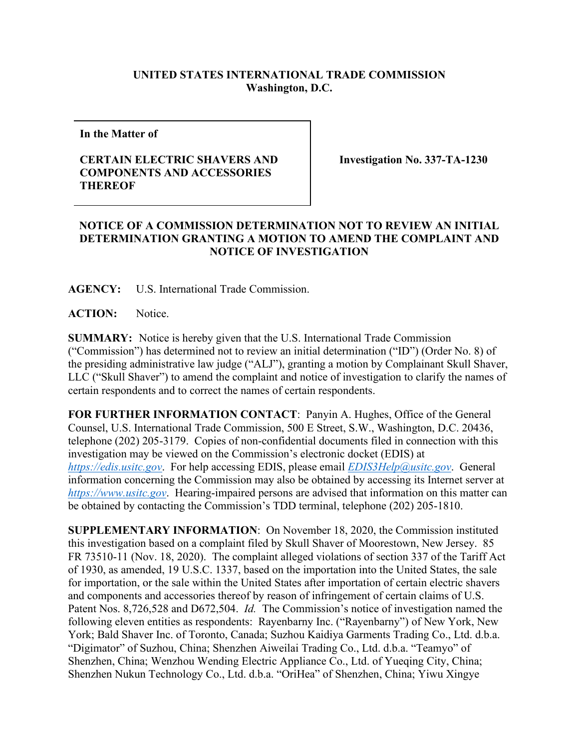## **UNITED STATES INTERNATIONAL TRADE COMMISSION Washington, D.C.**

**In the Matter of** 

## **CERTAIN ELECTRIC SHAVERS AND COMPONENTS AND ACCESSORIES THEREOF**

**Investigation No. 337-TA-1230**

## **NOTICE OF A COMMISSION DETERMINATION NOT TO REVIEW AN INITIAL DETERMINATION GRANTING A MOTION TO AMEND THE COMPLAINT AND NOTICE OF INVESTIGATION**

**AGENCY:** U.S. International Trade Commission.

ACTION: Notice.

**SUMMARY:** Notice is hereby given that the U.S. International Trade Commission ("Commission") has determined not to review an initial determination ("ID") (Order No. 8) of the presiding administrative law judge ("ALJ"), granting a motion by Complainant Skull Shaver, LLC ("Skull Shaver") to amend the complaint and notice of investigation to clarify the names of certain respondents and to correct the names of certain respondents.

**FOR FURTHER INFORMATION CONTACT**: Panyin A. Hughes, Office of the General Counsel, U.S. International Trade Commission, 500 E Street, S.W., Washington, D.C. 20436, telephone (202) 205-3179. Copies of non-confidential documents filed in connection with this investigation may be viewed on the Commission's electronic docket (EDIS) at *[https://edis.usitc.gov](https://edis.usitc.gov/)*. For help accessing EDIS, please email *[EDIS3Help@usitc.gov](mailto:EDIS3Help@usitc.gov)*. General information concerning the Commission may also be obtained by accessing its Internet server at *[https://www.usitc.gov](https://www.usitc.gov/)*. Hearing-impaired persons are advised that information on this matter can be obtained by contacting the Commission's TDD terminal, telephone (202) 205-1810.

**SUPPLEMENTARY INFORMATION**: On November 18, 2020, the Commission instituted this investigation based on a complaint filed by Skull Shaver of Moorestown, New Jersey. 85 FR 73510-11 (Nov. 18, 2020). The complaint alleged violations of section 337 of the Tariff Act of 1930, as amended, 19 U.S.C. 1337, based on the importation into the United States, the sale for importation, or the sale within the United States after importation of certain electric shavers and components and accessories thereof by reason of infringement of certain claims of U.S. Patent Nos. 8,726,528 and D672,504. *Id.* The Commission's notice of investigation named the following eleven entities as respondents: Rayenbarny Inc. ("Rayenbarny") of New York, New York; Bald Shaver Inc. of Toronto, Canada; Suzhou Kaidiya Garments Trading Co., Ltd. d.b.a. "Digimator" of Suzhou, China; Shenzhen Aiweilai Trading Co., Ltd. d.b.a. "Teamyo" of Shenzhen, China; Wenzhou Wending Electric Appliance Co., Ltd. of Yueqing City, China; Shenzhen Nukun Technology Co., Ltd. d.b.a. "OriHea" of Shenzhen, China; Yiwu Xingye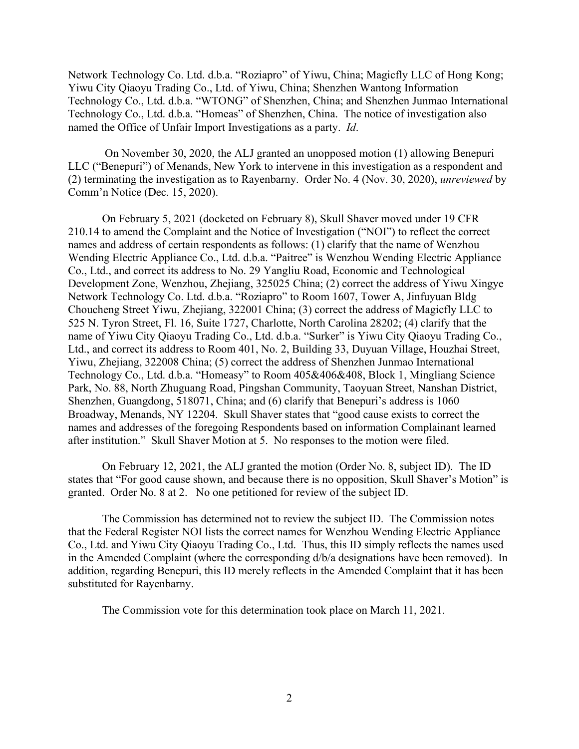Network Technology Co. Ltd. d.b.a. "Roziapro" of Yiwu, China; Magicfly LLC of Hong Kong; Yiwu City Qiaoyu Trading Co., Ltd. of Yiwu, China; Shenzhen Wantong Information Technology Co., Ltd. d.b.a. "WTONG" of Shenzhen, China; and Shenzhen Junmao International Technology Co., Ltd. d.b.a. "Homeas" of Shenzhen, China. The notice of investigation also named the Office of Unfair Import Investigations as a party. *Id*.

On November 30, 2020, the ALJ granted an unopposed motion (1) allowing Benepuri LLC ("Benepuri") of Menands, New York to intervene in this investigation as a respondent and (2) terminating the investigation as to Rayenbarny. Order No. 4 (Nov. 30, 2020), *unreviewed* by Comm'n Notice (Dec. 15, 2020).

On February 5, 2021 (docketed on February 8), Skull Shaver moved under 19 CFR 210.14 to amend the Complaint and the Notice of Investigation ("NOI") to reflect the correct names and address of certain respondents as follows: (1) clarify that the name of Wenzhou Wending Electric Appliance Co., Ltd. d.b.a. "Paitree" is Wenzhou Wending Electric Appliance Co., Ltd., and correct its address to No. 29 Yangliu Road, Economic and Technological Development Zone, Wenzhou, Zhejiang, 325025 China; (2) correct the address of Yiwu Xingye Network Technology Co. Ltd. d.b.a. "Roziapro" to Room 1607, Tower A, Jinfuyuan Bldg Choucheng Street Yiwu, Zhejiang, 322001 China; (3) correct the address of Magicfly LLC to 525 N. Tyron Street, Fl. 16, Suite 1727, Charlotte, North Carolina 28202; (4) clarify that the name of Yiwu City Qiaoyu Trading Co., Ltd. d.b.a. "Surker" is Yiwu City Qiaoyu Trading Co., Ltd., and correct its address to Room 401, No. 2, Building 33, Duyuan Village, Houzhai Street, Yiwu, Zhejiang, 322008 China; (5) correct the address of Shenzhen Junmao International Technology Co., Ltd. d.b.a. "Homeasy" to Room 405&406&408, Block 1, Mingliang Science Park, No. 88, North Zhuguang Road, Pingshan Community, Taoyuan Street, Nanshan District, Shenzhen, Guangdong, 518071, China; and (6) clarify that Benepuri's address is 1060 Broadway, Menands, NY 12204. Skull Shaver states that "good cause exists to correct the names and addresses of the foregoing Respondents based on information Complainant learned after institution." Skull Shaver Motion at 5. No responses to the motion were filed.

On February 12, 2021, the ALJ granted the motion (Order No. 8, subject ID). The ID states that "For good cause shown, and because there is no opposition, Skull Shaver's Motion" is granted. Order No. 8 at 2. No one petitioned for review of the subject ID.

The Commission has determined not to review the subject ID. The Commission notes that the Federal Register NOI lists the correct names for Wenzhou Wending Electric Appliance Co., Ltd. and Yiwu City Qiaoyu Trading Co., Ltd. Thus, this ID simply reflects the names used in the Amended Complaint (where the corresponding d/b/a designations have been removed). In addition, regarding Benepuri, this ID merely reflects in the Amended Complaint that it has been substituted for Rayenbarny.

The Commission vote for this determination took place on March 11, 2021.